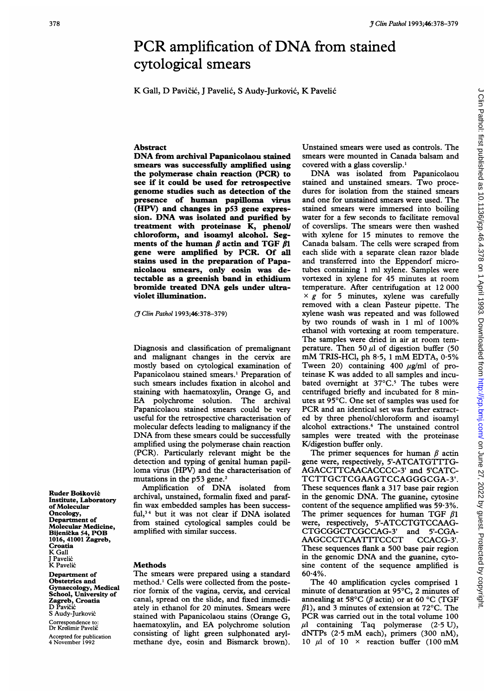## *y Clin Pathol* 1993;46:378-379<br>
PCR amplification of DNA from stained<br>
cytological smears<br>
K Gall, D Pavičić, J Pavelić, S Audy-Jurković, K Pavelić<br>
Abstract Unstained smears were used as controls. The PCR amplification of DNA from stained cytological smears

K Gall, D Pavicic, <sup>J</sup> Pavelic, <sup>S</sup> Audy-Jurkovic, K Pavelic

## Abstract

DNA from archival Papanicolaou stained smears was successfully amplified using the polymerase chain reaction (PCR) to see if it could be used for retrospective genome studies such as detection of the presence of human papilloma virus (HPV) and changes in p53 gene expression. DNA was isolated and purified by treatment with proteinase  $\bar{K}$ , phenol/ chloroform, and isoamyl alcohol. Segments of the human  $\beta$  actin and TGF  $\beta$ 1 gene were amplified by PCR. Of all stains used in the preparation of Papanicolaou smears, only eosin was detectable as a greenish band in ethidium bromide treated DNA gels under ultraviolet illumination.

(If Clin Pathol 1993;46:378-379)

Diagnosis and classification of premalignant and malignant changes in the cervix are mostly based on cytological examination of Papanicolaou stained smears.' Preparation of such smears includes fixation in alcohol and staining with haematoxylin, Orange G, and EA polychrome solution. The archival Papanicolaou stained smears could be very useful for the retrospective characterisation of molecular defects leading to malignancy if the DNA from these smears could be successfully amplified using the polymerase chain reaction (PCR). Particularly relevant might be the detection and typing of genital human papilloma virus (HPV) and the characterisation of mutations in the p53 gene.<sup>2</sup>

Amplification of DNA isolated from archival, unstained, formalin fixed and paraffin wax embedded samples has been successful,34 but it was not clear if DNA isolated from stained cytological samples could be amplified with similar success.

## **Methods**

The smears were prepared using a standard method.' Cells were collected from the posterior fornix of the vagina, cervix, and cervical canal, spread on the slide, and fixed immediately in ethanol for 20 minutes. Smears were stained with Papanicolaou stains (Orange G, haematoxylin, and EA polychrome solution consisting of light green sulphonated arylmethane dye, eosin and Bismarck brown). Unstained smears were used as controls. The smears were mounted in Canada balsam and covered with a glass coverslip.'

DNA was isolated from Papanicolaou stained and unstained smears. Two procedures for isolation from the stained smears and one for unstained smears were used. The stained smears were immersed into boiling water for a few seconds to facilitate removal of coverslips. The smears were then washed with xylene for 15 minutes to remove the Canada balsam. The cells were scraped from each slide with a separate clean razor blade and transferred into the Eppendorf microtubes containing <sup>1</sup> ml xylene. Samples were vortexed in xylene for 45 minutes at room temperature. After centrifugation at 12 000  $\times g$  for 5 minutes, xylene was carefully removed with a clean Pasteur pipette. The xylene wash was repeated and was followed by two rounds of wash in <sup>1</sup> ml of 100% ethanol with vortexing at room temperature. The samples were dried in air at room temperature. Then 50  $\mu$ l of digestion buffer (50 mM TRIS-HCl, ph  $8.5$ , 1 mM EDTA,  $0.5\%$ Tween 20) containing 400  $\mu$ g/ml of proteinase K was added to all samples and incubated overnight at  $37^{\circ}$ C.<sup>5</sup> The tubes were centrifuged briefly and incubated for 8 minutes at 95°C. One set of samples was used for PCR and an identical set was further extracted by three phenol/chloroform and isoamyl alcohol extractions.6 The unstained control samples were treated with the proteinase K/digestion buffer only.

The primer sequences for human  $\beta$  actin gene were, respectively, 5'-ATCATGTTTG-AGACCTTCAACACCCC-3' and 5'CATC-TCTTGCTCGAAGTCCAGGGCGA-3'. These sequences flank a 317 base pair region in the genomic DNA. The guanine, cytosine content of the sequence amplified was  $59.3\%$ . The primer sequences for human TGF  $\beta$ 1 were, respectively, 5'-ATCCTGTCCAAG-CTGCGGCTCGCCAG-3' and 5'-CGA-<br>AAGCCCTCAATTTCCCT CCACG-3'. AAGCCCTCAATTTCCCT These sequences flank a 500 base pair region in the genomic DNA and the guanine, cytosine content of the sequence amplified is  $60.4%$ .

The 40 amplification cycles comprised <sup>1</sup> minute of denaturation at 95°C, 2 minutes of annealing at 58°C ( $\beta$  actin) or at 60 °C (TGF  $\beta$ 1), and 3 minutes of extension at 72°C. The PCR was carried out in the total volume <sup>100</sup>  $\mu$ l containing Taq polymerase (2.5 U), dNTPs (2-5 mM each), primers (300 nM), 10  $\mu$ l of 10 × reaction buffer (100 mM

Ruder Bošković Institute, Laboratory of Molecular Oncology, Department of Molecular Medicine, Bijenicka 54, POB 1016, 41001 Zagreb, Croatia K Gall J Pavelić<br>K Pavelić

Department of Obstetrics and Gynaecology, Medical School, University of **Zagreb, Croatia**<br>D Pavičić S Audy-Jurković Correspondence to: Dr Kresimir Pavelic

Accepted for publication 4 November 1992